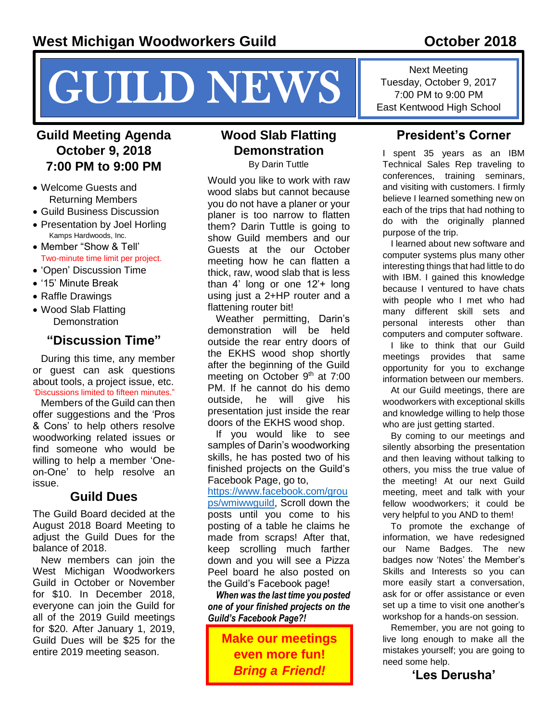# NEWS Fuesday, October 9, 2017<br>
Tuesday, October 9, 2017<br>
East Kentwood High School

### **Guild Meeting Agenda October 9, 2018 7:00 PM to 9:00 PM**

- Welcome Guests and Returning Members
- Guild Business Discussion
- Presentation by Joel Horling Kamps Hardwoods, Inc.
- Member "Show & Tell' Two-minute time limit per project.
- 'Open' Discussion Time
- '15' Minute Break
- Raffle Drawings
- Wood Slab Flatting **Demonstration**

### **"Discussion Time"**

During this time, any member or guest can ask questions about tools, a project issue, etc. 'Discussions limited to fifteen minutes."

Members of the Guild can then offer suggestions and the 'Pros & Cons' to help others resolve woodworking related issues or find someone who would be willing to help a member 'Oneon-One' to help resolve an issue.

### **Guild Dues**

The Guild Board decided at the August 2018 Board Meeting to adjust the Guild Dues for the balance of 2018.

New members can join the West Michigan Woodworkers Guild in October or November for \$10. In December 2018, everyone can join the Guild for all of the 2019 Guild meetings for \$20. After January 1, 2019, Guild Dues will be \$25 for the entire 2019 meeting season.

### **Wood Slab Flatting Demonstration**

By Darin Tuttle

Would you like to work with raw wood slabs but cannot because you do not have a planer or your planer is too narrow to flatten them? Darin Tuttle is going to show Guild members and our Guests at the our October meeting how he can flatten a thick, raw, wood slab that is less than 4' long or one 12'+ long using just a 2+HP router and a flattening router bit!

Weather permitting, Darin's demonstration will be held outside the rear entry doors of the EKHS wood shop shortly after the beginning of the Guild meeting on October 9<sup>th</sup> at 7:00 PM. If he cannot do his demo outside, he will give his presentation just inside the rear doors of the EKHS wood shop.

If you would like to see samples of Darin's woodworking skills, he has posted two of his finished projects on the Guild's Facebook Page, go to,

[https://www.facebook.com/grou](https://www.facebook.com/groups/wmiwwguild) [ps/wmiwwguild,](https://www.facebook.com/groups/wmiwwguild) Scroll down the posts until you come to his posting of a table he claims he made from scraps! After that, keep scrolling much farther down and you will see a Pizza Peel board he also posted on the Guild's Facebook page!

*When was the last time you posted one of your finished projects on the Guild's Facebook Page?!*

**Make our meetings even more fun!**  *Bring a Friend!*

Next Meeting Tuesday, October 9, 2017

### **President's Corner**

I spent 35 years as an IBM Technical Sales Rep traveling to conferences, training seminars, and visiting with customers. I firmly believe I learned something new on each of the trips that had nothing to do with the originally planned purpose of the trip.

I learned about new software and computer systems plus many other interesting things that had little to do with IBM. I gained this knowledge because I ventured to have chats with people who I met who had many different skill sets and personal interests other than computers and computer software.

I like to think that our Guild meetings provides that same opportunity for you to exchange information between our members.

At our Guild meetings, there are woodworkers with exceptional skills and knowledge willing to help those who are just getting started.

By coming to our meetings and silently absorbing the presentation and then leaving without talking to others, you miss the true value of the meeting! At our next Guild meeting, meet and talk with your fellow woodworkers; it could be very helpful to you AND to them!

To promote the exchange of information, we have redesigned our Name Badges. The new badges now 'Notes' the Member's Skills and Interests so you can more easily start a conversation, ask for or offer assistance or even set up a time to visit one another's workshop for a hands-on session.

Remember, you are not going to live long enough to make all the mistakes yourself; you are going to need some help.

**'Les Derusha'**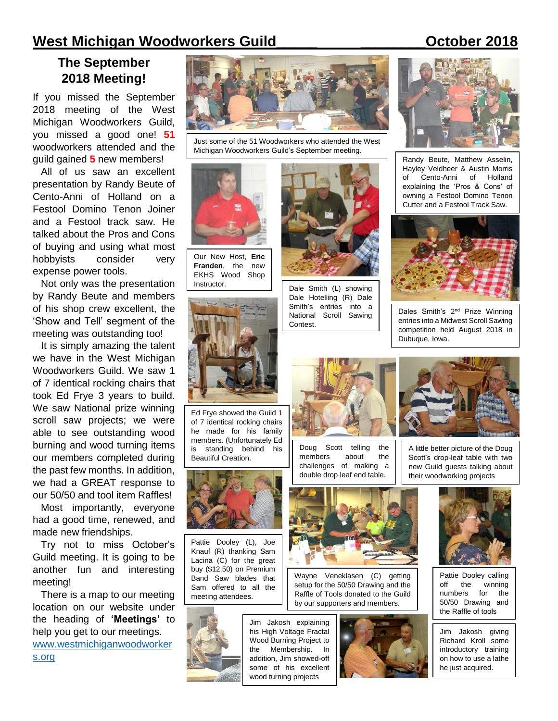### **West Michigan Woodworkers Guild\_\_\_\_\_ \_\_\_\_\_\_\_\_October 2018**

### **The September 2018 Meeting!**

If you missed the September 2018 meeting of the West Michigan Woodworkers Guild, you missed a good one! **51** woodworkers attended and the guild gained **5** new members!

All of us saw an excellent presentation by Randy Beute of Cento-Anni of Holland on a Festool Domino Tenon Joiner and a Festool track saw. He talked about the Pros and Cons of buying and using what most hobbyists consider very expense power tools.

Not only was the presentation by Randy Beute and members of his shop crew excellent, the 'Show and Tell' segment of the meeting was outstanding too!

It is simply amazing the talent we have in the West Michigan Woodworkers Guild. We saw 1 of 7 identical rocking chairs that took Ed Frye 3 years to build. We saw National prize winning scroll saw projects; we were able to see outstanding wood burning and wood turning items our members completed during the past few months. In addition, we had a GREAT response to our 50/50 and tool item Raffles!

Most importantly, everyone had a good time, renewed, and made new friendships.

Try not to miss October's Guild meeting. It is going to be another fun and interesting meeting!

There is a map to our meeting location on our website under the heading of **'Meetings'** to help you get to our meetings. [www.westmichiganwoodworker](file:///C:/Users/McDonald/Documents/TRM%20General%20Documents/WW%20Guild%20Docs/WW%20Guild%20Docs/Newsletter%20Articles%20by%20TRM/October%202018/www.westmichiganwoodworkers.org) [s.org](file:///C:/Users/McDonald/Documents/TRM%20General%20Documents/WW%20Guild%20Docs/WW%20Guild%20Docs/Newsletter%20Articles%20by%20TRM/October%202018/www.westmichiganwoodworkers.org)



Just some of the 51 Woodworkers who attended the West Michigan Woodworkers Guild's September meeting.



Our New Host, **Eric Franden**, the new EKHS Wood Shop



Ed Frye showed the Guild 1 of 7 identical rocking chairs he made for his family members. (Unfortunately Ed is standing behind his Beautiful Creation.



Pattie Dooley (L), Joe Knauf (R) thanking Sam Lacina (C) for the great buy (\$12.50) on Premium Band Saw blades that Sam offered to all the meeting attendees.



Jim Jakosh explaining his High Voltage Fractal Wood Burning Project to the Membership. In addition, Jim showed-off some of his excellent wood turning projects



Instructor. Dale Smith (L) showing Dale Hotelling (R) Dale Smith's entries into a National Scroll Sawing Contest.



Randy Beute, Matthew Asselin, Hayley Veldheer & Austin Morris of Cento-Anni of Holland explaining the 'Pros & Cons' of owning a Festool Domino Tenon Cutter and a Festool Track Saw.



Dales Smith's 2<sup>nd</sup> Prize Winning entries into a Midwest Scroll Sawing competition held August 2018 in Dubuque, Iowa.



Doug Scott telling the members about the challenges of making a double drop leaf end table.



A little better picture of the Doug Scott's drop-leaf table with two new Guild guests talking about their woodworking projects



Wayne Veneklasen (C) getting setup for the 50/50 Drawing and the Raffle of Tools donated to the Guild by our supporters and members.





Pattie Dooley calling off the winning numbers for the 50/50 Drawing and the Raffle of tools

Jim Jakosh giving Richard Kroll some introductory training on how to use a lathe he just acquired.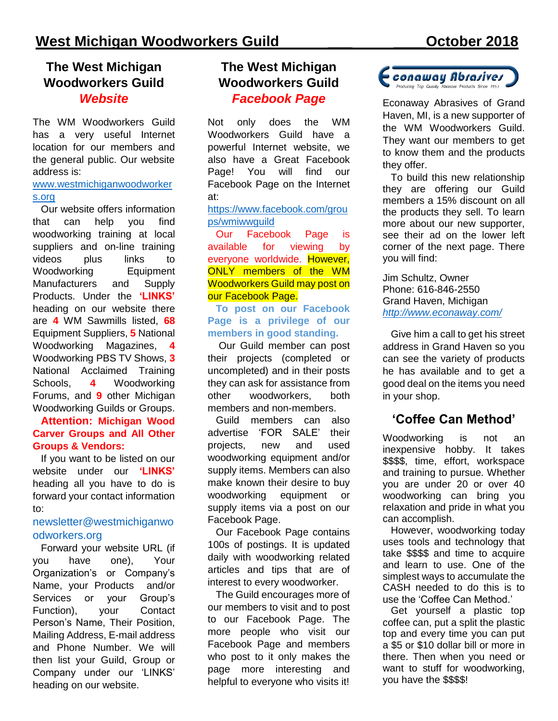### **The West Michigan Woodworkers Guild** *Website*

The WM Woodworkers Guild has a very useful Internet location for our members and the general public. Our website address is:

### [www.westmichiganwoodworker](http://www.westmichiganwoodworkers.org/) [s.org](http://www.westmichiganwoodworkers.org/)

Our website offers information that can help you find woodworking training at local suppliers and on-line training videos plus links to Woodworking Equipment Manufacturers and Supply Products. Under the **'LINKS'** heading on our website there are **4** WM Sawmills listed, **68** Equipment Suppliers, **5** National Woodworking Magazines, **4** Woodworking PBS TV Shows, **3** National Acclaimed Training Schools, **4** Woodworking Forums, and **9** other Michigan Woodworking Guilds or Groups.

### **Attention: Michigan Wood Carver Groups and All Other Groups & Vendors:**

If you want to be listed on our website under our **'LINKS'** heading all you have to do is forward your contact information to:

### [newsletter@westmichiganwo](mailto:newsletter@westmichiganwoodworkers.org) [odworkers.org](mailto:newsletter@westmichiganwoodworkers.org)

Forward your website URL (if you have one), Your Organization's or Company's Name, your Products and/or Services or your Group's Function), your Contact Person's Name, Their Position, Mailing Address, E-mail address and Phone Number. We will then list your Guild, Group or Company under our 'LINKS' heading on our website.

### **The West Michigan Woodworkers Guild** *Facebook Page*

Not only does the WM Woodworkers Guild have a powerful Internet website, we also have a Great Facebook Page! You will find our Facebook Page on the Internet at:

### [https://www.facebook.com/grou](https://www.facebook.com/groups/wmiwwguild) [ps/wmiwwguild](https://www.facebook.com/groups/wmiwwguild)

Our Facebook Page is available for viewing by everyone worldwide. However, ONLY members of the WM Woodworkers Guild may post on our Facebook Page.

**To post on our Facebook Page is a privilege of our members in good standing.**

Our Guild member can post their projects (completed or uncompleted) and in their posts they can ask for assistance from other woodworkers, both members and non-members.

Guild members can also advertise 'FOR SALE' their projects, new and used woodworking equipment and/or supply items. Members can also make known their desire to buy woodworking equipment or supply items via a post on our Facebook Page.

Our Facebook Page contains 100s of postings. It is updated daily with woodworking related articles and tips that are of interest to every woodworker.

The Guild encourages more of our members to visit and to post to our Facebook Page. The more people who visit our Facebook Page and members who post to it only makes the page more interesting and helpful to everyone who visits it!



Econaway Abrasives of Grand Haven, MI, is a new supporter of the WM Woodworkers Guild. They want our members to get to know them and the products they offer.

To build this new relationship they are offering our Guild members a 15% discount on all the products they sell. To learn more about our new supporter, see their ad on the lower left corner of the next page. There you will find:

Jim Schultz, Owner Phone: 616-846-2550 Grand Haven, Michigan *<http://www.econaway.com/>*

Give him a call to get his street address in Grand Haven so you can see the variety of products he has available and to get a good deal on the items you need in your shop.

### **'Coffee Can Method'**

Woodworking is not an inexpensive hobby. It takes \$\$\$\$, time, effort, workspace and training to pursue. Whether you are under 20 or over 40 woodworking can bring you relaxation and pride in what you can accomplish.

However, woodworking today uses tools and technology that take \$\$\$\$ and time to acquire and learn to use. One of the simplest ways to accumulate the CASH needed to do this is to use the 'Coffee Can Method.'

Get yourself a plastic top coffee can, put a split the plastic top and every time you can put a \$5 or \$10 dollar bill or more in there. Then when you need or want to stuff for woodworking, you have the \$\$\$\$!